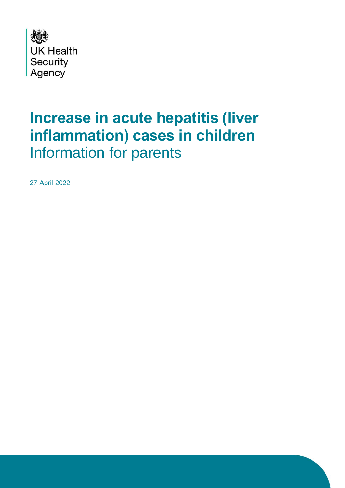

# **Increase in acute hepatitis (liver inflammation) cases in children** Information for parents

27 April 2022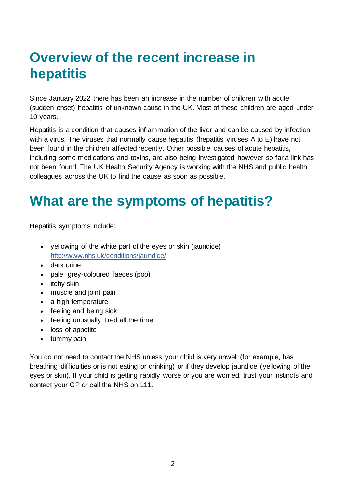# **Overview of the recent increase in hepatitis**

Since January 2022 there has been an increase in the number of children with acute (sudden onset) hepatitis of unknown cause in the UK. Most of these children are aged under 10 years.

Hepatitis is a condition that causes inflammation of the liver and can be caused by infection with a virus. The viruses that normally cause hepatitis (hepatitis viruses A to E) have not been found in the children affected recently. Other possible causes of acute hepatitis, including some medications and toxins, are also being investigated however so far a link has not been found. The UK Health Security Agency is working with the NHS and public health colleagues across the UK to find the cause as soon as possible.

# **What are the symptoms of hepatitis?**

Hepatitis symptoms include:

- yellowing of the white part of the eyes or skin (jaundice) <http://www.nhs.uk/conditions/jaundice/>
- dark urine
- pale, grey-coloured faeces (poo)
- itchy skin
- muscle and joint pain
- a high temperature
- feeling and being sick
- feeling unusually tired all the time
- loss of appetite
- tummy pain

You do not need to contact the NHS unless your child is very unwell (for example, has breathing difficulties or is not eating or drinking) or if they develop jaundice (yellowing of the eyes or skin). If your child is getting rapidly worse or you are worried, trust your instincts and contact your GP or call the NHS on 111.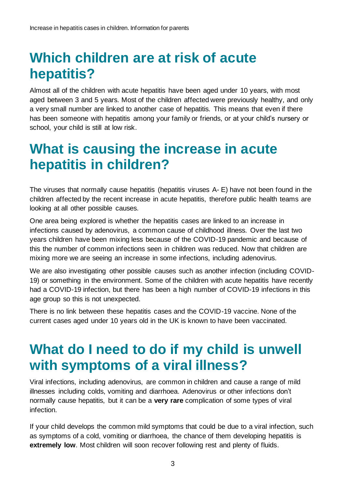# **Which children are at risk of acute hepatitis?**

Almost all of the children with acute hepatitis have been aged under 10 years, with most aged between 3 and 5 years. Most of the children affected were previously healthy, and only a very small number are linked to another case of hepatitis. This means that even if there has been someone with hepatitis among your family or friends, or at your child's nursery or school, your child is still at low risk.

#### **What is causing the increase in acute hepatitis in children?**

The viruses that normally cause hepatitis (hepatitis viruses A- E) have not been found in the children affected by the recent increase in acute hepatitis, therefore public health teams are looking at all other possible causes.

One area being explored is whether the hepatitis cases are linked to an increase in infections caused by adenovirus, a common cause of childhood illness. Over the last two years children have been mixing less because of the COVID-19 pandemic and because of this the number of common infections seen in children was reduced. Now that children are mixing more we are seeing an increase in some infections, including adenovirus.

We are also investigating other possible causes such as another infection (including COVID-19) or something in the environment. Some of the children with acute hepatitis have recently had a COVID-19 infection, but there has been a high number of COVID-19 infections in this age group so this is not unexpected.

There is no link between these hepatitis cases and the COVID-19 vaccine. None of the current cases aged under 10 years old in the UK is known to have been vaccinated.

## **What do I need to do if my child is unwell with symptoms of a viral illness?**

Viral infections, including adenovirus, are common in children and cause a range of mild illnesses including colds, vomiting and diarrhoea. Adenovirus or other infections don't normally cause hepatitis, but it can be a **very rare** complication of some types of viral infection.

If your child develops the common mild symptoms that could be due to a viral infection, such as symptoms of a cold, vomiting or diarrhoea, the chance of them developing hepatitis is **extremely low**. Most children will soon recover following rest and plenty of fluids.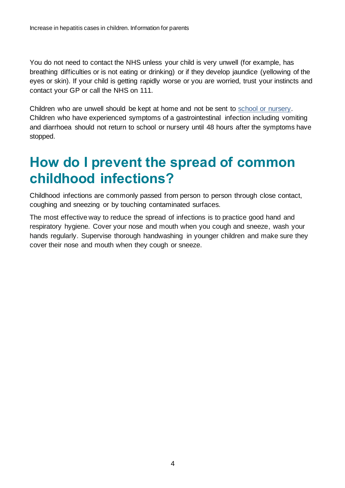You do not need to contact the NHS unless your child is very unwell (for example, has breathing difficulties or is not eating or drinking) or if they develop jaundice (yellowing of the eyes or skin). If your child is getting rapidly worse or you are worried, trust your instincts and contact your GP or call the NHS on 111.

Children who are unwell should be kept at home and not be sent to [school or nursery.](https://www.nhs.uk/live-well/is-my-child-too-ill-for-school/) Children who have experienced symptoms of a gastrointestinal infection including vomiting and diarrhoea should not return to school or nursery until 48 hours after the symptoms have stopped.

# **How do I prevent the spread of common childhood infections?**

Childhood infections are commonly passed from person to person through close contact, coughing and sneezing or by touching contaminated surfaces.

The most effective way to reduce the spread of infections is to practice good hand and respiratory hygiene. Cover your nose and mouth when you cough and sneeze, wash your hands regularly. Supervise thorough handwashing in younger children and make sure they cover their nose and mouth when they cough or sneeze.